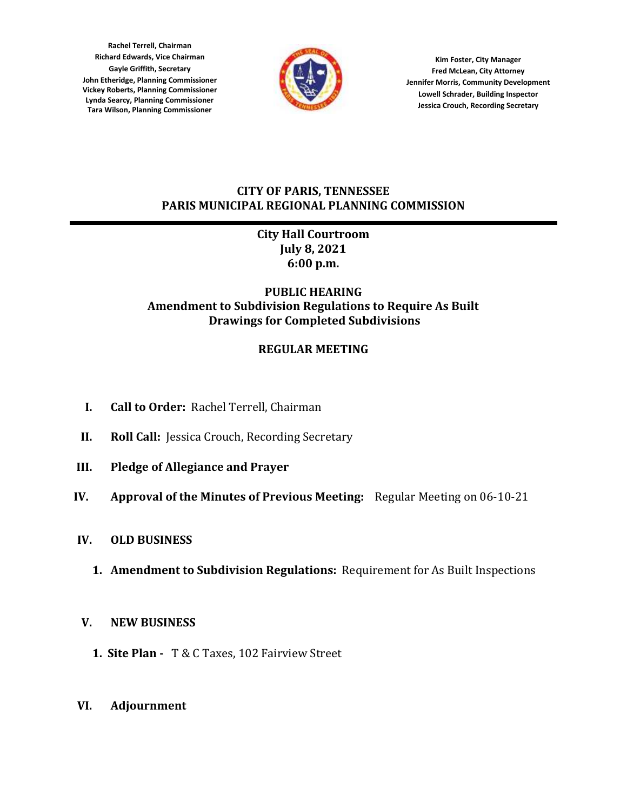**Rachel Terrell, Chairman Richard Edwards, Vice Chairman Gayle Griffith, Secretary John Etheridge, Planning Commissioner Vickey Roberts, Planning Commissioner Lynda Searcy, Planning Commissioner Tara Wilson, Planning Commissioner**



**Kim Foster, City Manager Fred McLean, City Attorney Jennifer Morris, Community Development Lowell Schrader, Building Inspector Jessica Crouch, Recording Secretary**

### **CITY OF PARIS, TENNESSEE PARIS MUNICIPAL REGIONAL PLANNING COMMISSION**

## **City Hall Courtroom July 8, 2021 6:00 p.m.**

## **PUBLIC HEARING Amendment to Subdivision Regulations to Require As Built Drawings for Completed Subdivisions**

# **REGULAR MEETING**

- **I. Call to Order:** Rachel Terrell, Chairman
- **II. Roll Call:** Jessica Crouch, Recording Secretary
- **III. Pledge of Allegiance and Prayer**
- **IV. Approval of the Minutes of Previous Meeting:** Regular Meeting on 06-10-21
- **IV. OLD BUSINESS**
	- **1. Amendment to Subdivision Regulations:** Requirement for As Built Inspections

## **V. NEW BUSINESS**

- **1. Site Plan -** T & C Taxes, 102 Fairview Street
- **VI. Adjournment**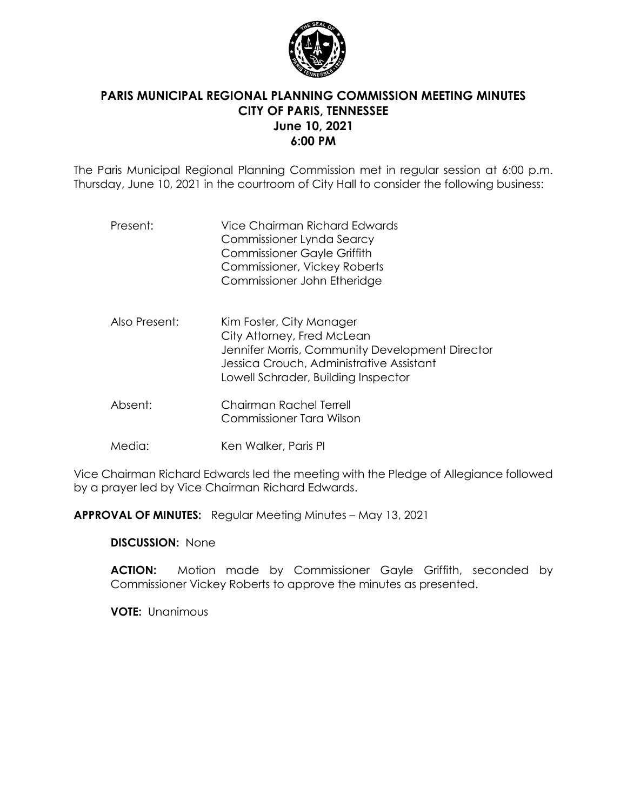

## **PARIS MUNICIPAL REGIONAL PLANNING COMMISSION MEETING MINUTES CITY OF PARIS, TENNESSEE June 10, 2021 6:00 PM**

The Paris Municipal Regional Planning Commission met in regular session at 6:00 p.m. Thursday, June 10, 2021 in the courtroom of City Hall to consider the following business:

| Present:      | Vice Chairman Richard Edwards<br>Commissioner Lynda Searcy<br><b>Commissioner Gayle Griffith</b><br>Commissioner, Vickey Roberts<br>Commissioner John Etheridge                              |
|---------------|----------------------------------------------------------------------------------------------------------------------------------------------------------------------------------------------|
| Also Present: | Kim Foster, City Manager<br>City Attorney, Fred McLean<br>Jennifer Morris, Community Development Director<br>Jessica Crouch, Administrative Assistant<br>Lowell Schrader, Building Inspector |

- Absent: Chairman Rachel Terrell Commissioner Tara Wilson
- Media: Ken Walker, Paris PI

Vice Chairman Richard Edwards led the meeting with the Pledge of Allegiance followed by a prayer led by Vice Chairman Richard Edwards.

**APPROVAL OF MINUTES:** Regular Meeting Minutes – May 13, 2021

**DISCUSSION:** None

**ACTION:** Motion made by Commissioner Gayle Griffith, seconded by Commissioner Vickey Roberts to approve the minutes as presented.

**VOTE:** Unanimous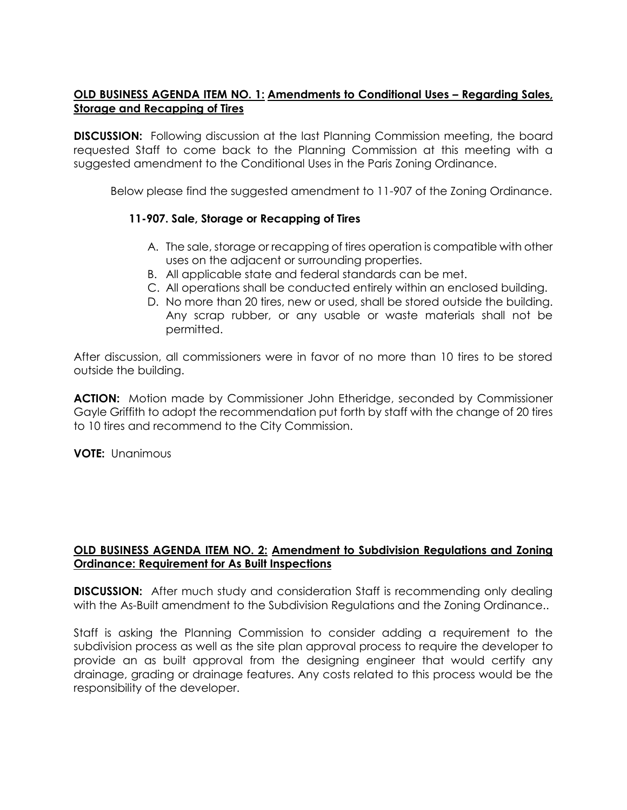### **OLD BUSINESS AGENDA ITEM NO. 1: Amendments to Conditional Uses - Regarding Sales, Storage and Recapping of Tires**

**DISCUSSION:** Following discussion at the last Planning Commission meeting, the board requested Staff to come back to the Planning Commission at this meeting with a suggested amendment to the Conditional Uses in the Paris Zoning Ordinance.

Below please find the suggested amendment to 11-907 of the Zoning Ordinance.

#### **11-907. Sale, Storage or Recapping of Tires**

- A. The sale, storage or recapping of tires operation is compatible with other uses on the adjacent or surrounding properties.
- B. All applicable state and federal standards can be met.
- C. All operations shall be conducted entirely within an enclosed building.
- D. No more than 20 tires, new or used, shall be stored outside the building. Any scrap rubber, or any usable or waste materials shall not be permitted.

After discussion, all commissioners were in favor of no more than 10 tires to be stored outside the building.

**ACTION:** Motion made by Commissioner John Etheridge, seconded by Commissioner Gayle Griffith to adopt the recommendation put forth by staff with the change of 20 tires to 10 tires and recommend to the City Commission.

**VOTE:** Unanimous

#### **OLD BUSINESS AGENDA ITEM NO. 2: Amendment to Subdivision Regulations and Zoning Ordinance: Requirement for As Built Inspections**

**DISCUSSION:** After much study and consideration Staff is recommending only dealing with the As-Built amendment to the Subdivision Regulations and the Zoning Ordinance..

Staff is asking the Planning Commission to consider adding a requirement to the subdivision process as well as the site plan approval process to require the developer to provide an as built approval from the designing engineer that would certify any drainage, grading or drainage features. Any costs related to this process would be the responsibility of the developer.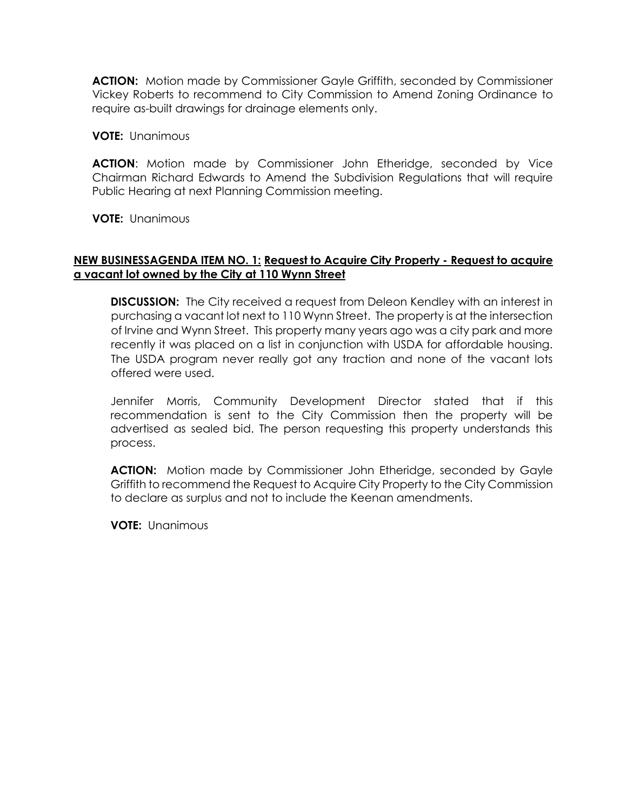**ACTION:** Motion made by Commissioner Gayle Griffith, seconded by Commissioner Vickey Roberts to recommend to City Commission to Amend Zoning Ordinance to require as-built drawings for drainage elements only.

**VOTE:** Unanimous

**ACTION**: Motion made by Commissioner John Etheridge, seconded by Vice Chairman Richard Edwards to Amend the Subdivision Regulations that will require Public Hearing at next Planning Commission meeting.

**VOTE:** Unanimous

#### **NEW BUSINESSAGENDA ITEM NO. 1: Request to Acquire City Property - Request to acquire a vacant lot owned by the City at 110 Wynn Street**

**DISCUSSION:** The City received a request from Deleon Kendley with an interest in purchasing a vacant lot next to 110 Wynn Street. The property is at the intersection of Irvine and Wynn Street. This property many years ago was a city park and more recently it was placed on a list in conjunction with USDA for affordable housing. The USDA program never really got any traction and none of the vacant lots offered were used.

Jennifer Morris, Community Development Director stated that if this recommendation is sent to the City Commission then the property will be advertised as sealed bid. The person requesting this property understands this process.

**ACTION:** Motion made by Commissioner John Etheridge, seconded by Gayle Griffith to recommend the Request to Acquire City Property to the City Commission to declare as surplus and not to include the Keenan amendments.

**VOTE:** Unanimous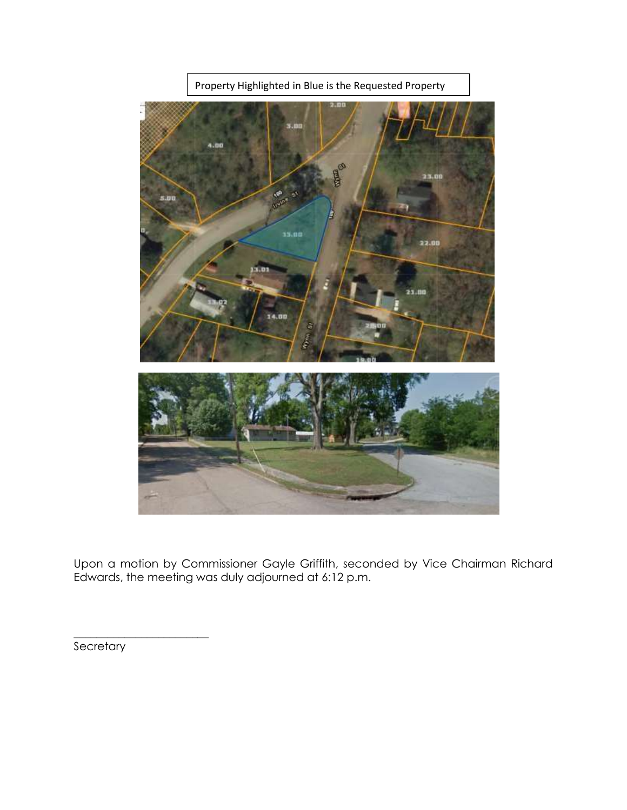

Upon a motion by Commissioner Gayle Griffith, seconded by Vice Chairman Richard Edwards, the meeting was duly adjourned at 6:12 p.m.

**Secretary** 

\_\_\_\_\_\_\_\_\_\_\_\_\_\_\_\_\_\_\_\_\_\_\_\_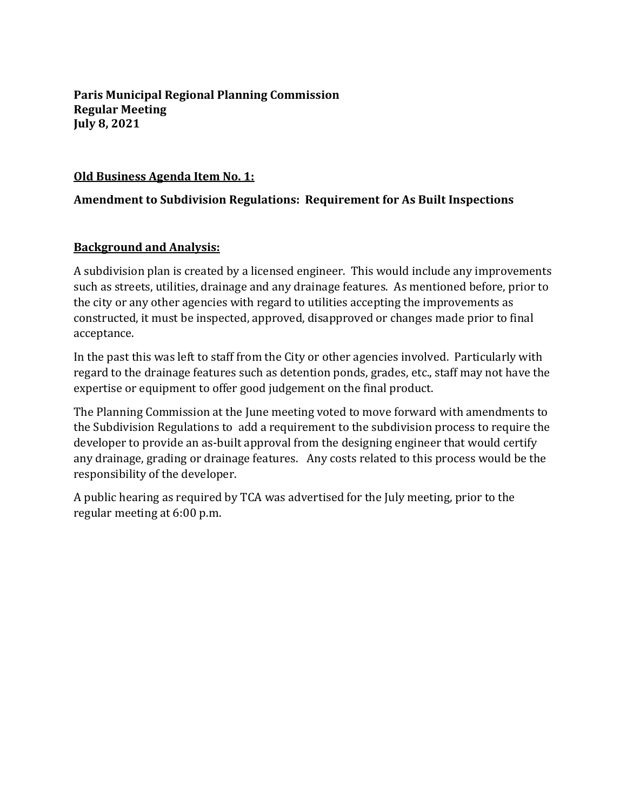**Paris Municipal Regional Planning Commission Regular Meeting July 8, 2021**

### **Old Business Agenda Item No. 1:**

## **Amendment to Subdivision Regulations: Requirement for As Built Inspections**

### **Background and Analysis:**

A subdivision plan is created by a licensed engineer. This would include any improvements such as streets, utilities, drainage and any drainage features. As mentioned before, prior to the city or any other agencies with regard to utilities accepting the improvements as constructed, it must be inspected, approved, disapproved or changes made prior to final acceptance.

In the past this was left to staff from the City or other agencies involved. Particularly with regard to the drainage features such as detention ponds, grades, etc., staff may not have the expertise or equipment to offer good judgement on the final product.

The Planning Commission at the June meeting voted to move forward with amendments to the Subdivision Regulations to add a requirement to the subdivision process to require the developer to provide an as-built approval from the designing engineer that would certify any drainage, grading or drainage features. Any costs related to this process would be the responsibility of the developer.

A public hearing as required by TCA was advertised for the July meeting, prior to the regular meeting at 6:00 p.m.